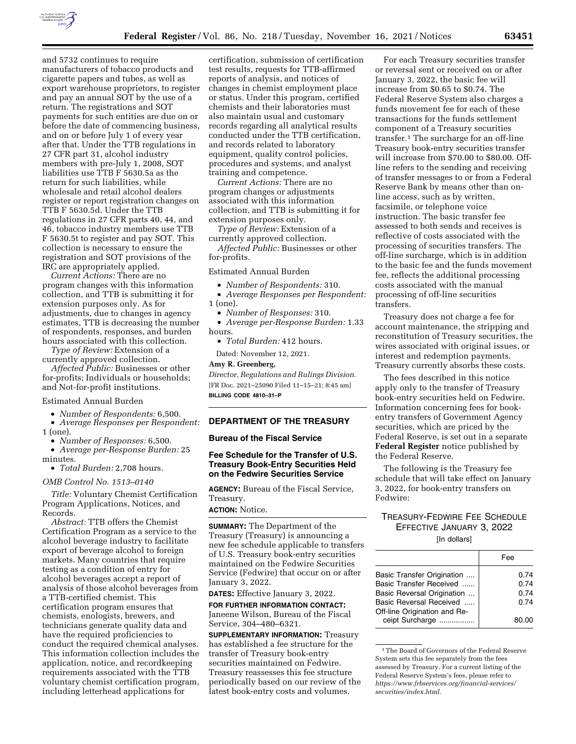

and 5732 continues to require manufacturers of tobacco products and cigarette papers and tubes, as well as export warehouse proprietors, to register and pay an annual SOT by the use of a return. The registrations and SOT payments for such entities are due on or before the date of commencing business, and on or before July 1 of every year after that. Under the TTB regulations in 27 CFR part 31, alcohol industry members with pre-July 1, 2008, SOT liabilities use TTB F 5630.5a as the return for such liabilities, while wholesale and retail alcohol dealers register or report registration changes on TTB F 5630.5d. Under the TTB regulations in 27 CFR parts 40, 44, and 46, tobacco industry members use TTB F 5630.5t to register and pay SOT. This collection is necessary to ensure the registration and SOT provisions of the IRC are appropriately applied.

*Current Actions:* There are no program changes with this information collection, and TTB is submitting it for extension purposes only. As for adjustments, due to changes in agency estimates, TTB is decreasing the number of respondents, responses, and burden hours associated with this collection.

*Type of Review:* Extension of a currently approved collection.

*Affected Public:* Businesses or other for-profits; Individuals or households; and Not-for-profit institutions.

# Estimated Annual Burden

• *Number of Respondents:* 6,500.

• *Average Responses per Respondent:*   $1$  (one).

• *Number of Responses:* 6,500.

• *Average per-Response Burden:* 25 minutes.

• *Total Burden:* 2,708 hours.

#### *OMB Control No. 1513–0140*

*Title:* Voluntary Chemist Certification Program Applications, Notices, and Records.

*Abstract:* TTB offers the Chemist Certification Program as a service to the alcohol beverage industry to facilitate export of beverage alcohol to foreign markets. Many countries that require testing as a condition of entry for alcohol beverages accept a report of analysis of those alcohol beverages from a TTB-certified chemist. This certification program ensures that chemists, enologists, brewers, and technicians generate quality data and have the required proficiencies to conduct the required chemical analyses. This information collection includes the application, notice, and recordkeeping requirements associated with the TTB voluntary chemist certification program, including letterhead applications for

certification, submission of certification test results, requests for TTB-affirmed reports of analysis, and notices of changes in chemist employment place or status. Under this program, certified chemists and their laboratories must also maintain usual and customary records regarding all analytical results conducted under the TTB certification, and records related to laboratory equipment, quality control policies, procedures and systems, and analyst training and competence.

*Current Actions:* There are no program changes or adjustments associated with this information collection, and TTB is submitting it for extension purposes only.

*Type of Review:* Extension of a currently approved collection. *Affected Public:* Businesses or other for-profits.

Estimated Annual Burden

• *Number of Respondents:* 310.

• *Average Responses per Respondent:*  1 (one).

• *Number of Responses:* 310.

• *Average per-Response Burden:* 1.33 hours.

• *Total Burden:* 412 hours.

Dated: November 12, 2021.

#### **Amy R. Greenberg,**

*Director, Regulations and Rulings Division.*  [FR Doc. 2021–25090 Filed 11–15–21; 8:45 am] **BILLING CODE 4810–31–P** 

#### **DEPARTMENT OF THE TREASURY**

## **Bureau of the Fiscal Service**

## **Fee Schedule for the Transfer of U.S. Treasury Book-Entry Securities Held on the Fedwire Securities Service**

**AGENCY:** Bureau of the Fiscal Service, Treasury.

## **ACTION:** Notice.

**SUMMARY:** The Department of the Treasury (Treasury) is announcing a new fee schedule applicable to transfers of U.S. Treasury book-entry securities maintained on the Fedwire Securities Service (Fedwire) that occur on or after January 3, 2022.

**DATES:** Effective January 3, 2022.

**FOR FURTHER INFORMATION CONTACT:**  Janeene Wilson, Bureau of the Fiscal Service, 304–480–6321.

**SUPPLEMENTARY INFORMATION: Treasury** has established a fee structure for the transfer of Treasury book-entry securities maintained on Fedwire. Treasury reassesses this fee structure periodically based on our review of the latest book-entry costs and volumes.

For each Treasury securities transfer or reversal sent or received on or after January 3, 2022, the basic fee will increase from \$0.65 to \$0.74. The Federal Reserve System also charges a funds movement fee for each of these transactions for the funds settlement component of a Treasury securities transfer.1 The surcharge for an off-line Treasury book-entry securities transfer will increase from \$70.00 to \$80.00. Offline refers to the sending and receiving of transfer messages to or from a Federal Reserve Bank by means other than online access, such as by written, facsimile, or telephone voice instruction. The basic transfer fee assessed to both sends and receives is reflective of costs associated with the processing of securities transfers. The off-line surcharge, which is in addition to the basic fee and the funds movement fee, reflects the additional processing costs associated with the manual processing of off-line securities transfers.

Treasury does not charge a fee for account maintenance, the stripping and reconstitution of Treasury securities, the wires associated with original issues, or interest and redemption payments. Treasury currently absorbs these costs.

The fees described in this notice apply only to the transfer of Treasury book-entry securities held on Fedwire. Information concerning fees for bookentry transfers of Government Agency securities, which are priced by the Federal Reserve, is set out in a separate **Federal Register** notice published by the Federal Reserve.

The following is the Treasury fee schedule that will take effect on January 3, 2022, for book-entry transfers on Fedwire:

# TREASURY-FEDWIRE FEE SCHEDULE EFFECTIVE JANUARY 3, 2022

[In dollars]

|                                                 | Fee   |
|-------------------------------------------------|-------|
| Basic Transfer Origination                      | 0.74  |
| Basic Transfer Received                         | 0.74  |
| Basic Reversal Origination                      | 0.74  |
| Basic Reversal Received                         | 0.74  |
| Off-line Origination and Re-<br>ceipt Surcharge | 80.00 |

1The Board of Governors of the Federal Reserve System sets this fee separately from the fees assessed by Treasury. For a current listing of the Federal Reserve System's fees, please refer to *[https://www.frbservices.org/financial-services/](https://www.frbservices.org/financial-services/securities/index.html)  [securities/index.html.](https://www.frbservices.org/financial-services/securities/index.html)*